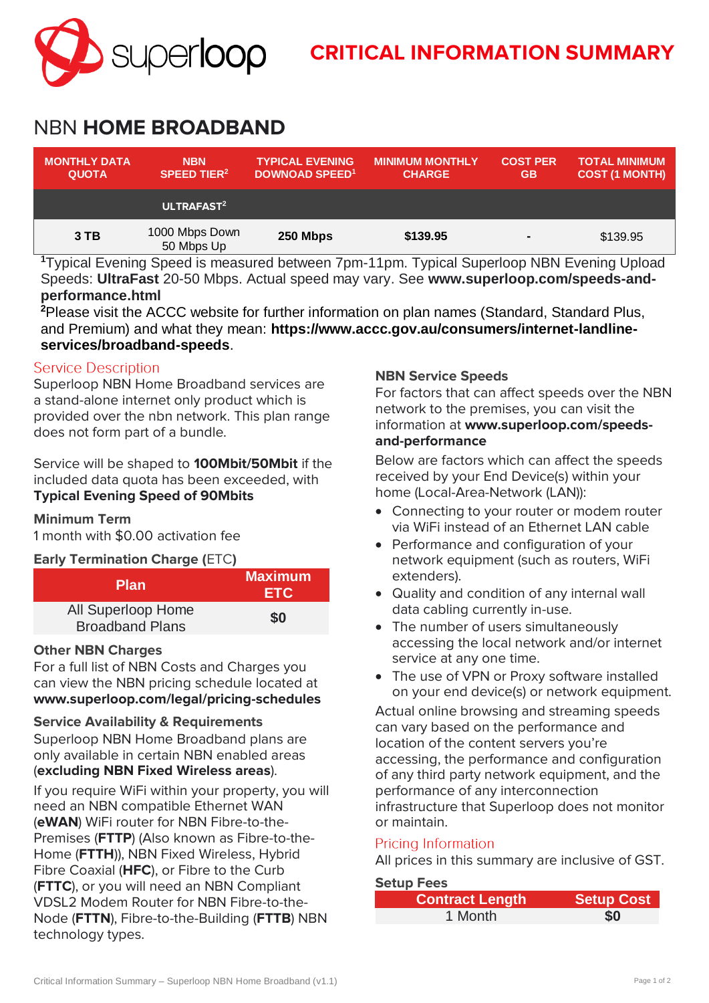

# **CRITICAL INFORMATION SUMMARY**

# NBN **HOME BROADBAND**

| <b>MONTHLY DATA</b><br><b>QUOTA</b> | <b>NBN</b><br><b>SPEED TIER<sup>2</sup></b> | <b>TYPICAL EVENING</b><br><b>DOWNOAD SPEED<sup>1</sup></b> | <b>MINIMUM MONTHLY</b><br><b>CHARGE</b> | <b>COST PER</b><br><b>GB</b> | <b>TOTAL MINIMUM</b><br><b>COST (1 MONTH)</b> |
|-------------------------------------|---------------------------------------------|------------------------------------------------------------|-----------------------------------------|------------------------------|-----------------------------------------------|
|                                     | ULTRAFAST <sup>2</sup>                      |                                                            |                                         |                              |                                               |
| 3TB                                 | 1000 Mbps Down<br>50 Mbps Up                | 250 Mbps                                                   | \$139.95                                | $\blacksquare$               | \$139.95                                      |

**<sup>1</sup>**Typical Evening Speed is measured between 7pm-11pm. Typical Superloop NBN Evening Upload Speeds: **UltraFast** 20-50 Mbps. Actual speed may vary. See **[www.superloop.com/speeds-and](https://www.superloop.com/speeds-and-performance.html)[performance.](https://www.superloop.com/speeds-and-performance.html)html**

**<sup>2</sup>**Please visit the ACCC website for further information on plan names (Standard, Standard Plus, and Premium) and what they mean: **https://www.accc.gov.au/consumers/internet-landlineservices/broadband-speeds**.

# **Service Description**

Superloop NBN Home Broadband services are a stand-alone internet only product which is provided over the nbn network. This plan range does not form part of a bundle.

Service will be shaped to **100Mbit/50Mbit** if the included data quota has been exceeded, with **Typical Evening Speed of 90Mbits**

# **Minimum Term**

1 month with \$0.00 activation fee

**Early Termination Charge (**ETC**)**

| <b>Plan</b>                                  | <b>Maximum</b><br><b>ETC</b> |
|----------------------------------------------|------------------------------|
| All Superloop Home<br><b>Broadband Plans</b> | \$0                          |

# **Other NBN Charges**

For a full list of NBN Costs and Charges you can view the NBN pricing schedule located at **[www.superloop.com/legal/pricing-schedules](https://www.superloop.com/legal/pricing-schedules.html)**

#### **Service Availability & Requirements**

Superloop NBN Home Broadband plans are only available in certain NBN enabled areas (*excluding NBN Fixed Wireless areas*).

If you require WiFi within your property, you will need an NBN compatible Ethernet WAN (**eWAN**) WiFi router for NBN Fibre-to-the-Premises (**FTTP**) (Also known as Fibre-to-the-Home (**FTTH**)), NBN Fixed Wireless, Hybrid Fibre Coaxial (**HFC**), or Fibre to the Curb (**FTTC**), or you will need an NBN Compliant VDSL2 Modem Router for NBN Fibre-to-the-Node (**FTTN**), Fibre-to-the-Building (**FTTB**) NBN technology types.

# **NBN Service Speeds**

For factors that can affect speeds over the NBN network to the premises, you can visit the information at **[www.superloop.com/speeds](https://www.superloop.com/speeds-and-performance.html)[and-performance](https://www.superloop.com/speeds-and-performance.html)**

Below are factors which can affect the speeds received by your End Device(s) within your home (Local-Area-Network (LAN)):

- Connecting to your router or modem router via WiFi instead of an Ethernet LAN cable
- Performance and configuration of your network equipment (such as routers, WiFi extenders).
- Quality and condition of any internal wall data cabling currently in-use.
- The number of users simultaneously accessing the local network and/or internet service at any one time.
- The use of VPN or Proxy software installed on your end device(s) or network equipment.

Actual online browsing and streaming speeds can vary based on the performance and location of the content servers you're accessing, the performance and configuration of any third party network equipment, and the performance of any interconnection infrastructure that Superloop does not monitor or maintain.

# Pricing Information

All prices in this summary are inclusive of GST.

#### **Setup Fees**

| <b>Contract Length</b> | Setup Cost |
|------------------------|------------|
| 1 Month                | \$0        |